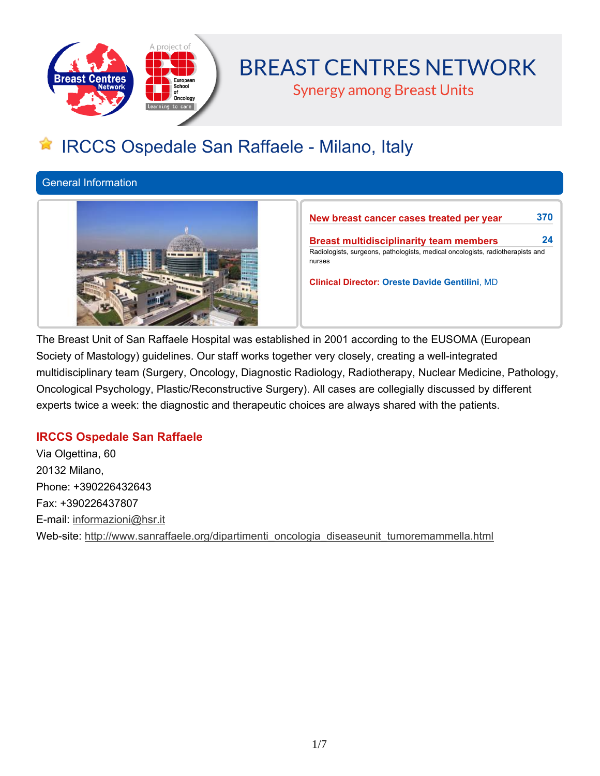

# **BREAST CENTRES NETWORK**

**Synergy among Breast Units** 

## **IRCCS Ospedale San Raffaele - Milano, Italy**

**General Information**



**New breast cancer cases treated per year 370**

**Breast multidisciplinarity team members 24 Radiologists, surgeons, pathologists, medical oncologists, radiotherapists and nurses**

**Clinical Director: Oreste Davide Gentilini, MD**

**The Breast Unit of San Raffaele Hospital was established in 2001 according to the EUSOMA (European Society of Mastology) guidelines. Our staff works together very closely, creating a well-integrated multidisciplinary team (Surgery, Oncology, Diagnostic Radiology, Radiotherapy, Nuclear Medicine, Pathology, Oncological Psychology, Plastic/Reconstructive Surgery). All cases are collegially discussed by different experts twice a week: the diagnostic and therapeutic choices are always shared with the patients.**

## **IRCCS Ospedale San Raffaele**

**Via Olgettina, 60 20132 Milano, Phone: +390226432643 Fax: +390226437807 E-mail: informazioni@hsr.it Web-site: http://www.sanraffaele.org/dipartimenti\_oncologia\_diseaseunit\_tumoremammella.html**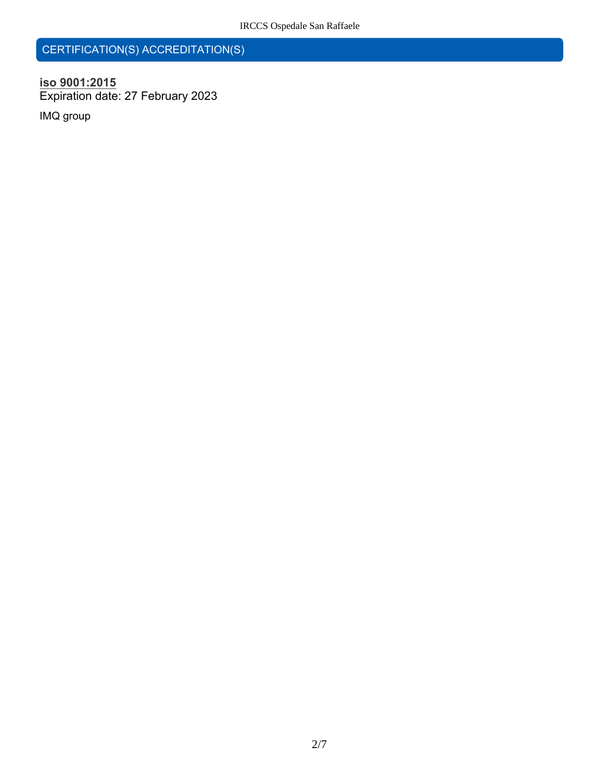## **CERTIFICATION(S) ACCREDITATION(S)**

## **iso 9001:2015 Expiration date: 27 February 2023**

**IMQ group**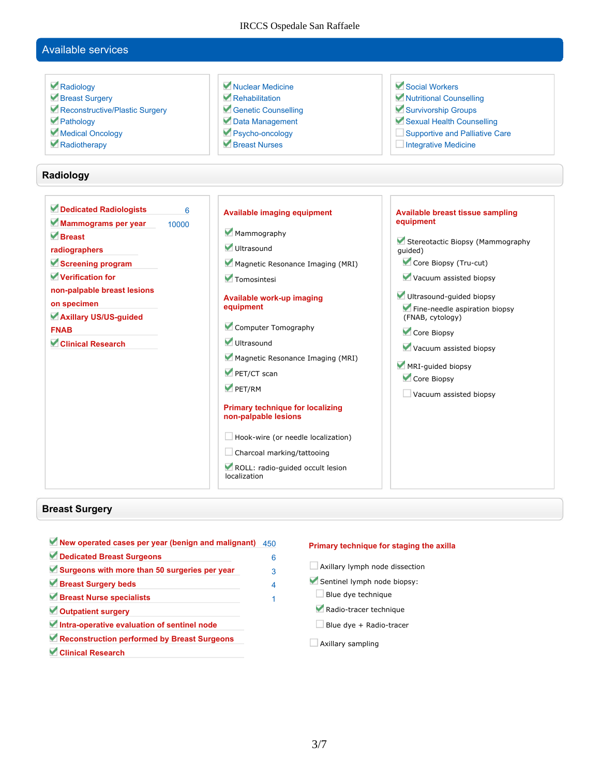#### IRCCS Ospedale San Raffaele

### **Available services**

 **Radiology Breast Surgery Reconstructive/Plastic Surgery Pathology Medical Oncology Radiotherapy Nuclear Medicine Rehabilitation Genetic Counselling Data Management Psycho-oncology Breast Nurses Social Workers Nutritional Counselling Survivorship Groups Sexual Health Counselling Supportive and Palliative Care Integrative Medicine Radiology Dedicated Radiologists 6 Mammograms per year 10000 Breast radiographers Screening program Verification for non-palpable breast lesions on specimen Axillary US/US-guided FNAB Clinical Research Available imaging equipment Mammography Ultrasound Magnetic Resonance Imaging (MRI) Tomosintesi Available work-up imaging equipment Computer Tomography Ultrasound Magnetic Resonance Imaging (MRI) PET/CT scan PET/RM Primary technique for localizing non-palpable lesions Hook-wire (or needle localization) Charcoal marking/tattooing ROLL: radio-guided occult lesion localization Available breast tissue sampling equipment Stereotactic Biopsy (Mammography guided) Core Biopsy (Tru-cut) Vacuum assisted biopsy Ultrasound-guided biopsy Fine-needle aspiration biopsy (FNAB, cytology) Core Biopsy Vacuum assisted biopsy MRI-guided biopsy Core Biopsy Vacuum assisted biopsy**

#### **Breast Surgery**

- **New operated cases per year (benign and malignant) 450 Dedicated Breast Surgeons 6 Surgeons with more than 50 surgeries per year 3 Breast Surgery beds 4 Breast Nurse specialists 1 Outpatient surgery Intra-operative evaluation of sentinel node Reconstruction performed by Breast Surgeons Clinical Research**
- 

#### **Primary technique for staging the axilla**

- **Axillary lymph node dissection**
- **Sentinel lymph node biopsy:**
- **Blue dye technique**
- **Radio-tracer technique**
- **Blue dye + Radio-tracer**
- **Axillary sampling**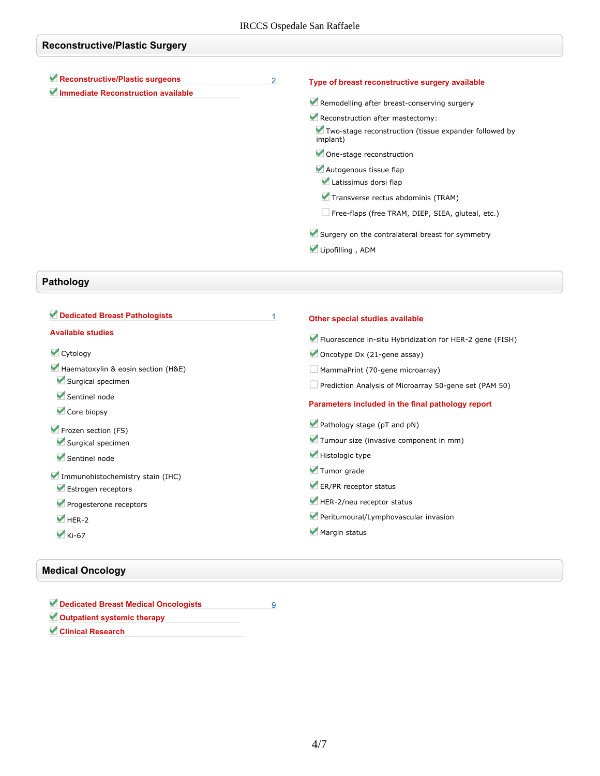| <b>Reconstructive/Plastic Surgery</b>                                 |   |                                                                                                                                                                                                                                                                                                                                                                                          |  |
|-----------------------------------------------------------------------|---|------------------------------------------------------------------------------------------------------------------------------------------------------------------------------------------------------------------------------------------------------------------------------------------------------------------------------------------------------------------------------------------|--|
| Reconstructive/Plastic surgeons<br>Immediate Reconstruction available | 2 | Type of breast reconstructive surgery available<br>Remodelling after breast-conserving surgery<br>Reconstruction after mastectomy:<br>Two-stage reconstruction (tissue expander followed by<br>implant)<br>One-stage reconstruction<br>Autogenous tissue flap<br>Latissimus dorsi flap<br>Transverse rectus abdominis (TRAM)<br>$\Box$ Free-flaps (free TRAM, DIEP, SIEA, gluteal, etc.) |  |
|                                                                       |   | Surgery on the contralateral breast for symmetry<br>Lipofilling, ADM                                                                                                                                                                                                                                                                                                                     |  |

## **Pathology**

| Dedicated Breast Pathologists      | Other special studies available                          |
|------------------------------------|----------------------------------------------------------|
| <b>Available studies</b>           | Fluorescence in-situ Hybridization for HER-2 gene (FISH) |
| Cytology                           | Oncotype Dx (21-gene assay)                              |
| Haematoxylin & eosin section (H&E) | MammaPrint (70-gene microarray)                          |
| Surgical specimen                  | Prediction Analysis of Microarray 50-gene set (PAM 50)   |
| Sentinel node<br>Core biopsy       | Parameters included in the final pathology report        |
| Frozen section (FS)                | Pathology stage (pT and pN)                              |
| Surgical specimen                  | Tumour size (invasive component in mm)                   |
| Sentinel node                      | Histologic type                                          |
| Immunohistochemistry stain (IHC)   | Tumor grade                                              |
| Estrogen receptors                 | ER/PR receptor status                                    |
| Progesterone receptors             | HER-2/neu receptor status                                |
| $M$ HER-2                          | Peritumoural/Lymphovascular invasion                     |
| $\blacktriangledown$ Ki-67         | Margin status                                            |

## **Medical Oncology**

| Dedicated Breast Medical Oncologists |  |
|--------------------------------------|--|
| Outpatient systemic therapy          |  |
| Clinical Research                    |  |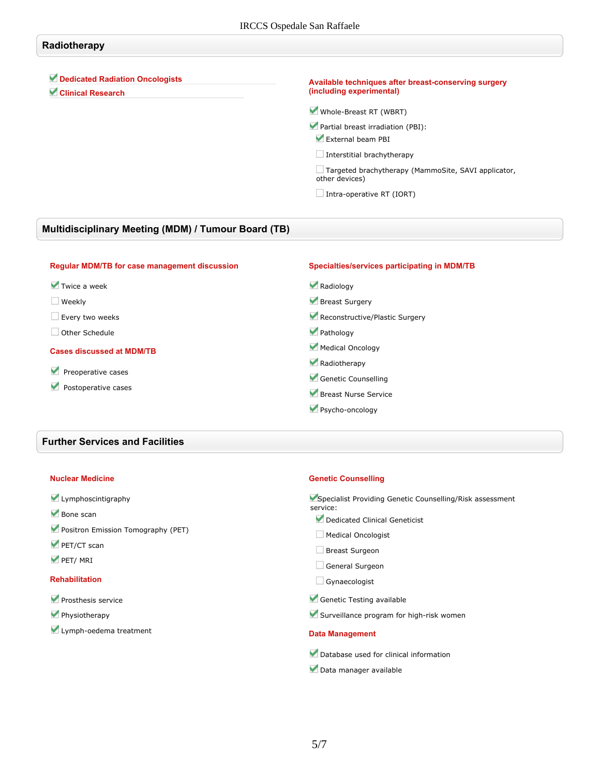## **Radiotherapy**

**Dedicated Radiation Oncologists**

**Clinical Research**

#### **Available techniques after breast-conserving surgery (including experimental)**

**Whole-Breast RT (WBRT)**

- **Partial breast irradiation (PBI): External beam PBI**
- **Interstitial brachytherapy**

**Targeted brachytherapy (MammoSite, SAVI applicator, other devices)**

**Intra-operative RT (IORT)**

### **Multidisciplinary Meeting (MDM) / Tumour Board (TB)**

| <b>Regular MDM/TB for case management discussion</b>                          | Specialties/services participating in MDM/TB |
|-------------------------------------------------------------------------------|----------------------------------------------|
| $\blacktriangledown$ Twice a week                                             | Radiology                                    |
| Weekly                                                                        | Breast Surgery                               |
| Every two weeks                                                               | Reconstructive/Plastic Surgery               |
| Other Schedule                                                                | Pathology                                    |
| <b>Cases discussed at MDM/TB</b><br>Preoperative cases<br>Postoperative cases | Medical Oncology                             |
|                                                                               | Radiotherapy                                 |
|                                                                               | Genetic Counselling                          |
|                                                                               | Breast Nurse Service                         |
|                                                                               | Psycho-oncology                              |

#### **Further Services and Facilities**

#### **Nuclear Medicine**

#### **Lymphoscintigraphy**

- **Bone scan**
- **Positron Emission Tomography (PET)**
- **PET/CT scan**
- **PET/ MRI**

#### **Rehabilitation**

- **Prosthesis service**
- **Physiotherapy**
- **Lymph-oedema treatment**

#### **Genetic Counselling**

**Specialist Providing Genetic Counselling/Risk assessment service:**

- **Dedicated Clinical Geneticist**
- **Medical Oncologist**
- **Breast Surgeon**
- **General Surgeon**
- **Gynaecologist**
- **Genetic Testing available**
- **Surveillance program for high-risk women**

#### **Data Management**

- **Database used for clinical information**
- **Data manager available**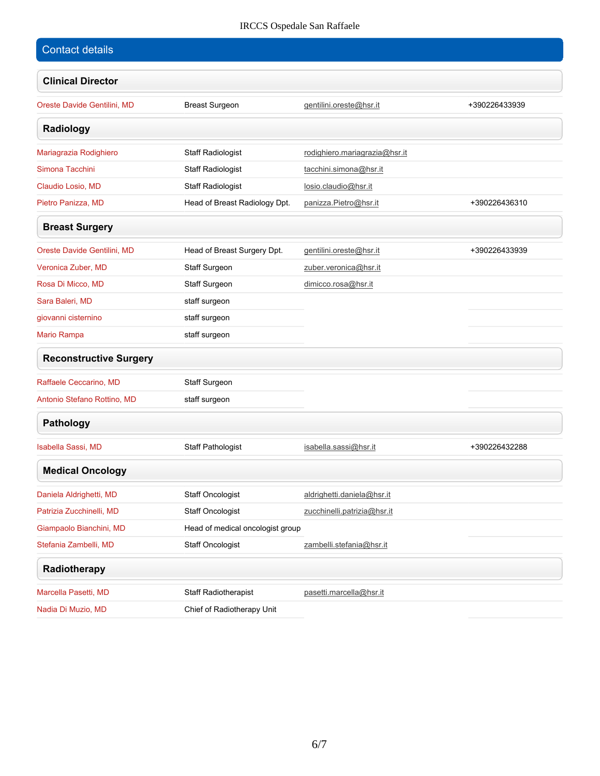## IRCCS Ospedale San Raffaele

| <b>Contact details</b>        |                                  |                               |               |
|-------------------------------|----------------------------------|-------------------------------|---------------|
| <b>Clinical Director</b>      |                                  |                               |               |
| Oreste Davide Gentilini, MD   | <b>Breast Surgeon</b>            | gentilini.oreste@hsr.it       | +390226433939 |
| Radiology                     |                                  |                               |               |
| Mariagrazia Rodighiero        | <b>Staff Radiologist</b>         | rodighiero.mariagrazia@hsr.it |               |
| Simona Tacchini               | <b>Staff Radiologist</b>         | tacchini.simona@hsr.it        |               |
| Claudio Losio, MD             | <b>Staff Radiologist</b>         | losio.claudio@hsr.it          |               |
| Pietro Panizza, MD            | Head of Breast Radiology Dpt.    | panizza.Pietro@hsr.it         | +390226436310 |
| <b>Breast Surgery</b>         |                                  |                               |               |
| Oreste Davide Gentilini, MD   | Head of Breast Surgery Dpt.      | gentilini.oreste@hsr.it       | +390226433939 |
| Veronica Zuber, MD            | <b>Staff Surgeon</b>             | zuber.veronica@hsr.it         |               |
| Rosa Di Micco, MD             | <b>Staff Surgeon</b>             | dimicco.rosa@hsr.it           |               |
| Sara Baleri, MD               | staff surgeon                    |                               |               |
| giovanni cisternino           | staff surgeon                    |                               |               |
| Mario Rampa                   | staff surgeon                    |                               |               |
| <b>Reconstructive Surgery</b> |                                  |                               |               |
| Raffaele Ceccarino, MD        | Staff Surgeon                    |                               |               |
| Antonio Stefano Rottino, MD   | staff surgeon                    |                               |               |
| Pathology                     |                                  |                               |               |
| <b>Isabella Sassi, MD</b>     | <b>Staff Pathologist</b>         | isabella.sassi@hsr.it         | +390226432288 |
| <b>Medical Oncology</b>       |                                  |                               |               |
| Daniela Aldrighetti, MD       | Staff Oncologist                 | aldrighetti.daniela@hsr.it    |               |
| Patrizia Zucchinelli, MD      | Staff Oncologist                 | zucchinelli.patrizia@hsr.it   |               |
| Giampaolo Bianchini, MD       | Head of medical oncologist group |                               |               |
| Stefania Zambelli, MD         | Staff Oncologist                 | zambelli.stefania@hsr.it      |               |
| Radiotherapy                  |                                  |                               |               |
| Marcella Pasetti, MD          | <b>Staff Radiotherapist</b>      | pasetti.marcella@hsr.it       |               |
| Nadia Di Muzio, MD            | Chief of Radiotherapy Unit       |                               |               |